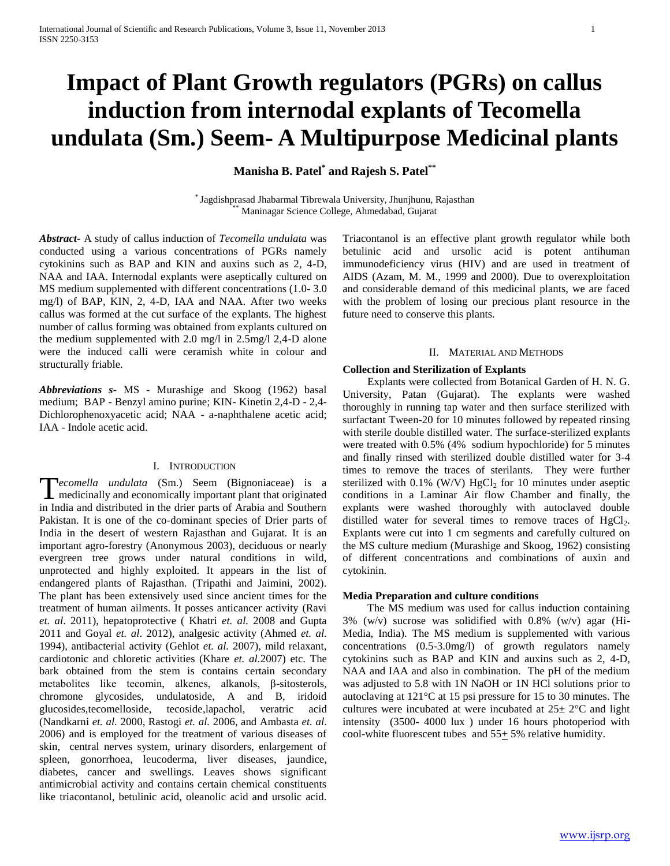# **Impact of Plant Growth regulators (PGRs) on callus induction from internodal explants of Tecomella undulata (Sm.) Seem- A Multipurpose Medicinal plants**

**Manisha B. Patel\* and Rajesh S. Patel\*\***

\* Jagdishprasad Jhabarmal Tibrewala University, Jhunjhunu, Rajasthan Maninagar Science College, Ahmedabad, Gujarat

*Abstract***-** A study of callus induction of *Tecomella undulata* was conducted using a various concentrations of PGRs namely cytokinins such as BAP and KIN and auxins such as 2, 4-D, NAA and IAA. Internodal explants were aseptically cultured on MS medium supplemented with different concentrations (1.0- 3.0 mg/l) of BAP, KIN, 2, 4-D, IAA and NAA. After two weeks callus was formed at the cut surface of the explants. The highest number of callus forming was obtained from explants cultured on the medium supplemented with 2.0 mg/l in 2.5mg/l 2,4-D alone were the induced calli were ceramish white in colour and structurally friable.

*Abbreviations s*- MS - Murashige and Skoog (1962) basal medium; BAP - Benzyl amino purine; KIN- Kinetin 2,4-D - 2,4- Dichlorophenoxyacetic acid; NAA - a-naphthalene acetic acid; IAA - Indole acetic acid.

# I. INTRODUCTION

**F**ecomella undulata (Sm.) Seem (Bignoniaceae) is a medicinally and economically important plant that originated **I** medicinally and economically important plant that originated in India and distributed in the drier parts of Arabia and Southern Pakistan. It is one of the co-dominant species of Drier parts of India in the desert of western Rajasthan and Gujarat. It is an important agro-forestry (Anonymous 2003), deciduous or nearly evergreen tree grows under natural conditions in wild, unprotected and highly exploited. It appears in the list of endangered plants of Rajasthan. (Tripathi and Jaimini, 2002). The plant has been extensively used since ancient times for the treatment of human ailments. It posses anticancer activity (Ravi *et. al*. 2011), hepatoprotective ( Khatri *et. al.* 2008 and Gupta 2011 and Goyal *et. al*. 2012), analgesic activity (Ahmed *et. al.* 1994), antibacterial activity (Gehlot *et. al.* 2007), mild relaxant, cardiotonic and chloretic activities (Khare *et. al.*2007) etc. The bark obtained from the stem is contains certain secondary metabolites like tecomin, alkenes, alkanols, β-sitosterols, chromone glycosides, undulatoside, A and B, iridoid glucosides,tecomelloside, tecoside,lapachol, veratric acid (Nandkarni *et. al.* 2000, Rastogi *et. al.* 2006, and Ambasta *et. al*. 2006) and is employed for the treatment of various diseases of skin, central nerves system, urinary disorders, enlargement of spleen, gonorrhoea, leucoderma, liver diseases, jaundice, diabetes, cancer and swellings. Leaves shows significant antimicrobial activity and contains certain chemical constituents like triacontanol, betulinic acid, oleanolic acid and ursolic acid.

Triacontanol is an effective plant growth regulator while both betulinic acid and ursolic acid is potent antihuman immunodeficiency virus (HIV) and are used in treatment of AIDS (Azam, M. M., 1999 and 2000). Due to overexploitation and considerable demand of this medicinal plants, we are faced with the problem of losing our precious plant resource in the future need to conserve this plants.

## II. MATERIAL AND METHODS

# **Collection and Sterilization of Explants**

 Explants were collected from Botanical Garden of H. N. G. University, Patan (Gujarat). The explants were washed thoroughly in running tap water and then surface sterilized with surfactant Tween-20 for 10 minutes followed by repeated rinsing with sterile double distilled water. The surface-sterilized explants were treated with 0.5% (4% sodium hypochloride) for 5 minutes and finally rinsed with sterilized double distilled water for 3-4 times to remove the traces of sterilants. They were further sterilized with  $0.1\%$  (W/V)  $HgCl<sub>2</sub>$  for 10 minutes under aseptic conditions in a Laminar Air flow Chamber and finally, the explants were washed thoroughly with autoclaved double distilled water for several times to remove traces of  $HgCl<sub>2</sub>$ . Explants were cut into 1 cm segments and carefully cultured on the MS culture medium (Murashige and Skoog, 1962) consisting of different concentrations and combinations of auxin and cytokinin.

# **Media Preparation and culture conditions**

 The MS medium was used for callus induction containing 3% (w/v) sucrose was solidified with 0.8% (w/v) agar (Hi-Media, India). The MS medium is supplemented with various concentrations (0.5-3.0mg/l) of growth regulators namely cytokinins such as BAP and KIN and auxins such as 2, 4-D, NAA and IAA and also in combination. The pH of the medium was adjusted to 5.8 with 1N NaOH or 1N HCl solutions prior to autoclaving at 121°C at 15 psi pressure for 15 to 30 minutes. The cultures were incubated at were incubated at 25± 2°C and light intensity (3500- 4000 lux ) under 16 hours photoperiod with cool-white fluorescent tubes and  $55+5%$  relative humidity.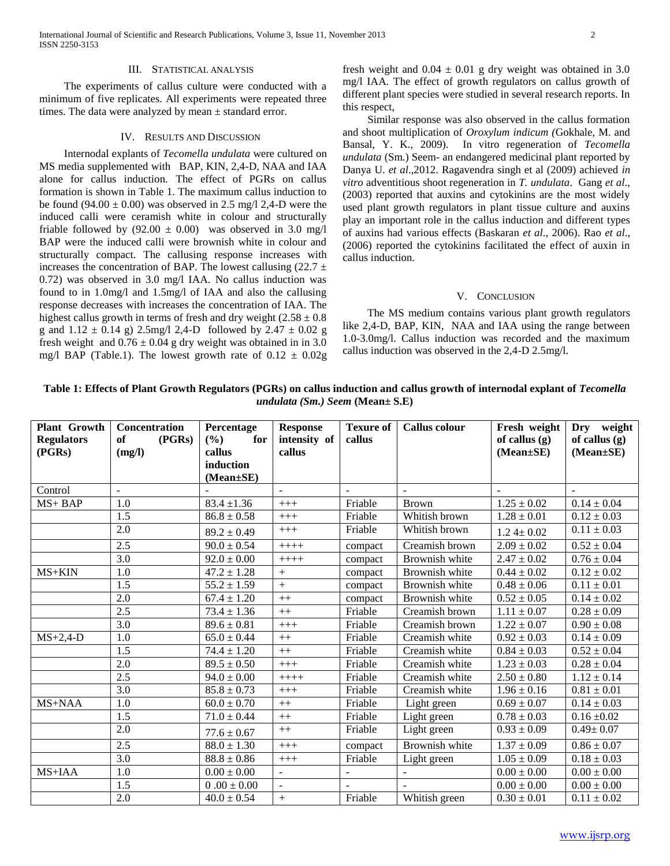International Journal of Scientific and Research Publications, Volume 3, Issue 11, November 2013 2 ISSN 2250-3153

## III. STATISTICAL ANALYSIS

 The experiments of callus culture were conducted with a minimum of five replicates. All experiments were repeated three times. The data were analyzed by mean  $\pm$  standard error.

## IV. RESULTS AND DISCUSSION

 Internodal explants of *Tecomella undulata* were cultured on MS media supplemented with BAP, KIN, 2,4-D, NAA and IAA alone for callus induction. The effect of PGRs on callus formation is shown in Table 1. The maximum callus induction to be found  $(94.00 \pm 0.00)$  was observed in 2.5 mg/l 2,4-D were the induced calli were ceramish white in colour and structurally friable followed by  $(92.00 \pm 0.00)$  was observed in 3.0 mg/l BAP were the induced calli were brownish white in colour and structurally compact. The callusing response increases with increases the concentration of BAP. The lowest callusing (22.7  $\pm$ 0.72) was observed in 3.0 mg/l IAA. No callus induction was found to in 1.0mg/l and 1.5mg/l of IAA and also the callusing response decreases with increases the concentration of IAA. The highest callus growth in terms of fresh and dry weight  $(2.58 \pm 0.8)$ g and  $1.12 \pm 0.14$  g) 2.5mg/l 2,4-D followed by 2.47  $\pm$  0.02 g fresh weight and  $0.76 \pm 0.04$  g dry weight was obtained in in 3.0 mg/l BAP (Table.1). The lowest growth rate of  $0.12 \pm 0.02$ g

fresh weight and  $0.04 \pm 0.01$  g dry weight was obtained in 3.0 mg/l IAA. The effect of growth regulators on callus growth of different plant species were studied in several research reports. In this respect,

 Similar response was also observed in the callus formation and shoot multiplication of *Oroxylum indicum (*Gokhale, M. and Bansal, Y. K., 2009). In vitro regeneration of *Tecomella undulata* (Sm.) Seem- an endangered medicinal plant reported by Danya U. *et al*.,2012. Ragavendra singh et al (2009) achieved *in vitro* adventitious shoot regeneration in *T. undulata*. Gang *et al*., (2003) reported that auxins and cytokinins are the most widely used plant growth regulators in plant tissue culture and auxins play an important role in the callus induction and different types of auxins had various effects (Baskaran *et al*., 2006). Rao *et al*., (2006) reported the cytokinins facilitated the effect of auxin in callus induction.

#### V. CONCLUSION

 The MS medium contains various plant growth regulators like 2,4-D, BAP, KIN, NAA and IAA using the range between 1.0-3.0mg/l. Callus induction was recorded and the maximum callus induction was observed in the 2,4-D 2.5mg/l.

| Table 1: Effects of Plant Growth Regulators (PGRs) on callus induction and callus growth of internodal explant of Tecomella |
|-----------------------------------------------------------------------------------------------------------------------------|
| <i>undulata</i> ( <i>Sm.</i> ) <i>Seem</i> ( <b>Mean</b> $\pm$ <b>S.E</b> )                                                 |

| <b>Plant Growth</b><br><b>Regulators</b><br>(PGRs) | Concentration<br>(PGRs)<br>of<br>(mg/l) | Percentage<br>for<br>(%)<br>callus<br>induction<br>$(Mean \pm SE)$ | <b>Response</b><br>intensity of<br>callus | <b>Texure of</b><br>callus | <b>Callus colour</b> | Fresh weight<br>of callus $(g)$<br>$(Mean \pm SE)$ | Dry weight<br>of callus (g)<br>(Mean±SE) |
|----------------------------------------------------|-----------------------------------------|--------------------------------------------------------------------|-------------------------------------------|----------------------------|----------------------|----------------------------------------------------|------------------------------------------|
| Control                                            | $\sim$                                  |                                                                    | $\sim$                                    | $\overline{\phantom{a}}$   |                      |                                                    | $\sim$                                   |
| MS+BAP                                             | 1.0                                     | $\overline{83.4} \pm 1.36$                                         | $+++$                                     | Friable                    | <b>Brown</b>         | $1.25 \pm 0.02$                                    | $0.14 \pm 0.04$                          |
|                                                    | 1.5                                     | $86.8 \pm 0.58$                                                    | $++++$                                    | Friable                    | Whitish brown        | $1.28 \pm 0.01$                                    | $0.12 \pm 0.03$                          |
|                                                    | 2.0                                     | $89.2 \pm 0.49$                                                    | $+++$                                     | Friable                    | Whitish brown        | $1.24 \pm 0.02$                                    | $0.11 \pm 0.03$                          |
|                                                    | 2.5                                     | $90.0 \pm 0.54$                                                    | $++++$                                    | compact                    | Creamish brown       | $2.09 \pm 0.02$                                    | $0.52 \pm 0.04$                          |
|                                                    | 3.0                                     | $92.0 \pm 0.00$                                                    | $+++++$                                   | compact                    | Brownish white       | $2.47 \pm 0.02$                                    | $0.76 \pm 0.04$                          |
| $MS+KIN$                                           | 1.0                                     | $47.2 \pm 1.28$                                                    | $^{+}$                                    | compact                    | Brownish white       | $0.44 \pm 0.02$                                    | $0.12 \pm 0.02$                          |
|                                                    | 1.5                                     | $55.2 \pm 1.59$                                                    | $^{+}$                                    | compact                    | Brownish white       | $0.48 \pm 0.06$                                    | $0.11 \pm 0.01$                          |
|                                                    | 2.0                                     | $67.4 \pm 1.20$                                                    | $++$                                      | compact                    | Brownish white       | $0.52 \pm 0.05$                                    | $0.14 \pm 0.02$                          |
|                                                    | 2.5                                     | $73.4 \pm 1.36$                                                    | $++$                                      | Friable                    | Creamish brown       | $1.11 \pm 0.07$                                    | $0.28 \pm 0.09$                          |
|                                                    | 3.0                                     | $89.6 \pm 0.81$                                                    | $+++$                                     | Friable                    | Creamish brown       | $1.22 \pm 0.07$                                    | $0.90 \pm 0.08$                          |
| $MS+2,4-D$                                         | 1.0                                     | $65.0 \pm 0.44$                                                    | $++$                                      | Friable                    | Creamish white       | $0.92 \pm 0.03$                                    | $0.14 \pm 0.09$                          |
|                                                    | 1.5                                     | $74.4 \pm 1.20$                                                    | $++$                                      | Friable                    | Creamish white       | $0.84 \pm 0.03$                                    | $0.52 \pm 0.04$                          |
|                                                    | 2.0                                     | $89.5 \pm 0.50$                                                    | $+++$                                     | Friable                    | Creamish white       | $1.23 \pm 0.03$                                    | $0.28 \pm 0.04$                          |
|                                                    | 2.5                                     | $94.0 \pm 0.00$                                                    | $+++++$                                   | Friable                    | Creamish white       | $2.50\pm0.80$                                      | $1.12\pm0.14$                            |
|                                                    | 3.0                                     | $85.8 \pm 0.73$                                                    | $+++$                                     | Friable                    | Creamish white       | $1.96 \pm 0.16$                                    | $0.81 \pm 0.01$                          |
| MS+NAA                                             | 1.0                                     | $60.0 \pm 0.70$                                                    | $++$                                      | Friable                    | Light green          | $0.69 \pm 0.07$                                    | $0.14 \pm 0.03$                          |
|                                                    | 1.5                                     | $71.0 \pm 0.44$                                                    | $++$                                      | Friable                    | Light green          | $0.78 \pm 0.03$                                    | $0.16 \pm 0.02$                          |
|                                                    | 2.0                                     | $77.6 \pm 0.67$                                                    | $++$                                      | Friable                    | Light green          | $0.93 \pm 0.09$                                    | $0.49 \pm 0.07$                          |
|                                                    | 2.5                                     | $88.0 \pm 1.30$                                                    | $+++$                                     | compact                    | Brownish white       | $1.37 \pm 0.09$                                    | $0.86 \pm 0.07$                          |
|                                                    | 3.0                                     | $88.8 \pm 0.86$                                                    | $+++$                                     | Friable                    | Light green          | $1.05 \pm 0.09$                                    | $0.18 \pm 0.03$                          |
| MS+IAA                                             | 1.0                                     | $0.00 \pm 0.00$                                                    | $\sim$                                    | $\overline{\phantom{a}}$   |                      | $0.00 \pm 0.00$                                    | $0.00 \pm 0.00$                          |
|                                                    | 1.5                                     | $0.00\pm0.00$                                                      | $\sim$                                    |                            |                      | $0.00 \pm 0.00$                                    | $0.00 \pm 0.00$                          |
|                                                    | $\overline{2.0}$                        | $40.0 \pm 0.54$                                                    | $^{+}$                                    | Friable                    | Whitish green        | $0.30 \pm 0.01$                                    | $0.11 \pm 0.02$                          |